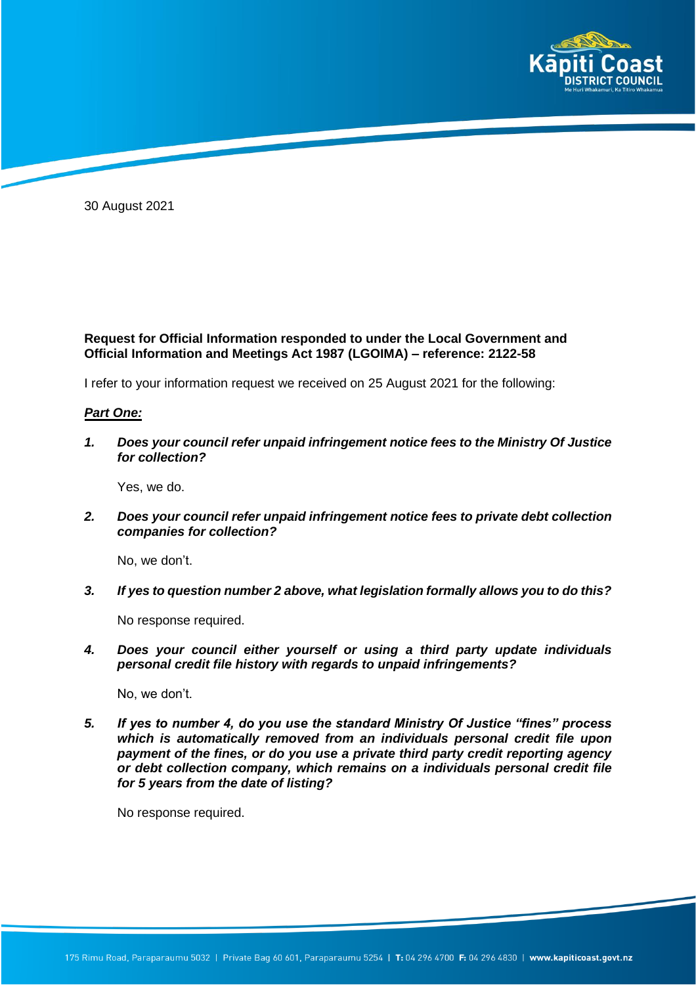

30 August 2021

## **Request for Official Information responded to under the Local Government and Official Information and Meetings Act 1987 (LGOIMA) – reference: 2122-58**

I refer to your information request we received on 25 August 2021 for the following:

## *Part One:*

*1. Does your council refer unpaid infringement notice fees to the Ministry Of Justice for collection?*

Yes, we do.

*2. Does your council refer unpaid infringement notice fees to private debt collection companies for collection?*

No, we don't.

*3. If yes to question number 2 above, what legislation formally allows you to do this?*

No response required.

*4. Does your council either yourself or using a third party update individuals personal credit file history with regards to unpaid infringements?*

No, we don't.

*5. If yes to number 4, do you use the standard Ministry Of Justice "fines" process which is automatically removed from an individuals personal credit file upon payment of the fines, or do you use a private third party credit reporting agency or debt collection company, which remains on a individuals personal credit file for 5 years from the date of listing?*

No response required.